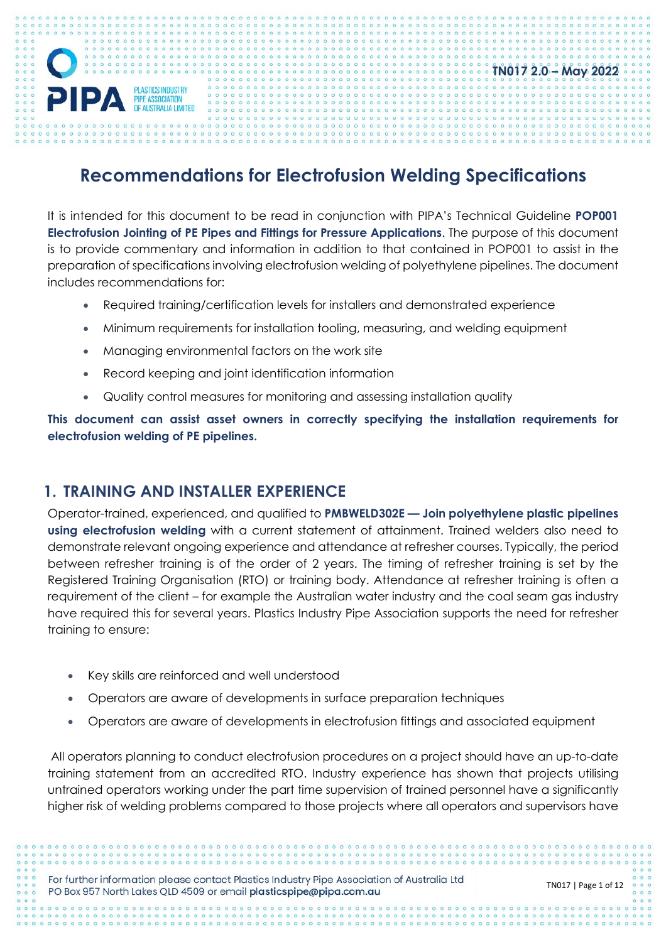# **TN017 2.0 – May 2022** PIPA **PLASTICS INDUSTRY**

# **Recommendations for Electrofusion Welding Specifications**

It is intended for this document to be read in conjunction with PIPA's Technical Guideline **POP001 Electrofusion Jointing of PE Pipes and Fittings for Pressure Applications**. The purpose of this document is to provide commentary and information in addition to that contained in POP001 to assist in the preparation of specifications involving electrofusion welding of polyethylene pipelines. The document includes recommendations for:

- Required training/certification levels for installers and demonstrated experience
- Minimum requirements for installation tooling, measuring, and welding equipment
- Managing environmental factors on the work site
- Record keeping and joint identification information
- Quality control measures for monitoring and assessing installation quality

**This document can assist asset owners in correctly specifying the installation requirements for electrofusion welding of PE pipelines.** 

## **1. TRAINING AND INSTALLER EXPERIENCE**

Operator-trained, experienced, and qualified to **PMBWELD302E — Join polyethylene plastic pipelines using electrofusion welding** with a current statement of attainment. Trained welders also need to demonstrate relevant ongoing experience and attendance at refresher courses. Typically, the period between refresher training is of the order of 2 years. The timing of refresher training is set by the Registered Training Organisation (RTO) or training body. Attendance at refresher training is often a requirement of the client – for example the Australian water industry and the coal seam gas industry have required this for several years. Plastics Industry Pipe Association supports the need for refresher training to ensure:

- Key skills are reinforced and well understood
- Operators are aware of developments in surface preparation techniques
- Operators are aware of developments in electrofusion fittings and associated equipment

All operators planning to conduct electrofusion procedures on a project should have an up-to-date training statement from an accredited RTO. Industry experience has shown that projects utilising untrained operators working under the part time supervision of trained personnel have a significantly higher risk of welding problems compared to those projects where all operators and supervisors have

For further information please contact Plastics Industry Pipe Association of Australia Ltd PO Box 957 North Lakes QLD 4509 or email plasticspipe@pipa.com.au

TN017 | Page 1 of 12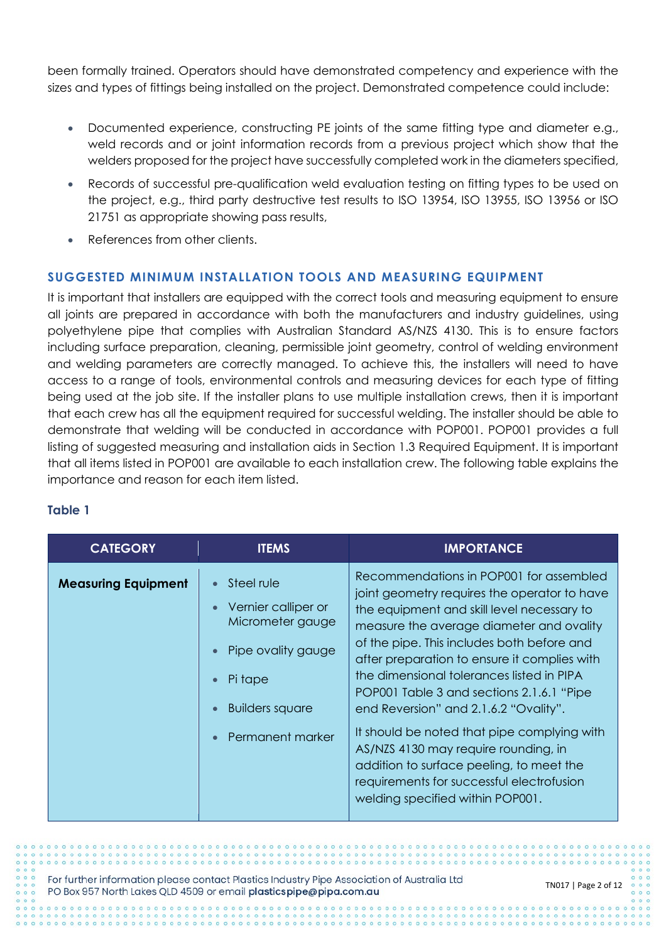been formally trained. Operators should have demonstrated competency and experience with the sizes and types of fittings being installed on the project. Demonstrated competence could include:

- Documented experience, constructing PE joints of the same fitting type and diameter e.g., weld records and or joint information records from a previous project which show that the welders proposed for the project have successfully completed work in the diameters specified,
- Records of successful pre-qualification weld evaluation testing on fitting types to be used on the project, e.g., third party destructive test results to ISO 13954, ISO 13955, ISO 13956 or ISO 21751 as appropriate showing pass results,
- References from other clients.

## **SUGGESTED MINIMUM INSTALLATION TOOLS AND MEASURING EQUIPMENT**

It is important that installers are equipped with the correct tools and measuring equipment to ensure all joints are prepared in accordance with both the manufacturers and industry guidelines, using polyethylene pipe that complies with Australian Standard AS/NZS 4130. This is to ensure factors including surface preparation, cleaning, permissible joint geometry, control of welding environment and welding parameters are correctly managed. To achieve this, the installers will need to have access to a range of tools, environmental controls and measuring devices for each type of fitting being used at the job site. If the installer plans to use multiple installation crews, then it is important that each crew has all the equipment required for successful welding. The installer should be able to demonstrate that welding will be conducted in accordance with POP001. POP001 provides a full listing of suggested measuring and installation aids in Section 1.3 Required Equipment. It is important that all items listed in POP001 are available to each installation crew. The following table explains the importance and reason for each item listed.

## **Table 1**

| <b>CATEGORY</b>            | <b>ITEMS</b>                                                                                                                         | <b>IMPORTANCE</b>                                                                                                                                                                                                                                                                                                                                                                                                                                                                                                                                                                                                                      |
|----------------------------|--------------------------------------------------------------------------------------------------------------------------------------|----------------------------------------------------------------------------------------------------------------------------------------------------------------------------------------------------------------------------------------------------------------------------------------------------------------------------------------------------------------------------------------------------------------------------------------------------------------------------------------------------------------------------------------------------------------------------------------------------------------------------------------|
| <b>Measuring Equipment</b> | Steel rule<br>Vernier calliper or<br>Micrometer gauge<br>Pipe ovality gauge<br>Pi tape<br><b>Builders square</b><br>Permanent marker | Recommendations in POP001 for assembled<br>joint geometry requires the operator to have<br>the equipment and skill level necessary to<br>measure the average diameter and ovality<br>of the pipe. This includes both before and<br>after preparation to ensure it complies with<br>the dimensional tolerances listed in PIPA<br>POP001 Table 3 and sections 2.1.6.1 "Pipe<br>end Reversion" and 2.1.6.2 "Ovality".<br>It should be noted that pipe complying with<br>AS/NZS 4130 may require rounding, in<br>addition to surface peeling, to meet the<br>requirements for successful electrofusion<br>welding specified within POP001. |

For further information please contact Plastics Industry Pipe Association of Australia Ltd PO Box 957 North Lakes QLD 4509 or email plasticspipe@pipa.com.au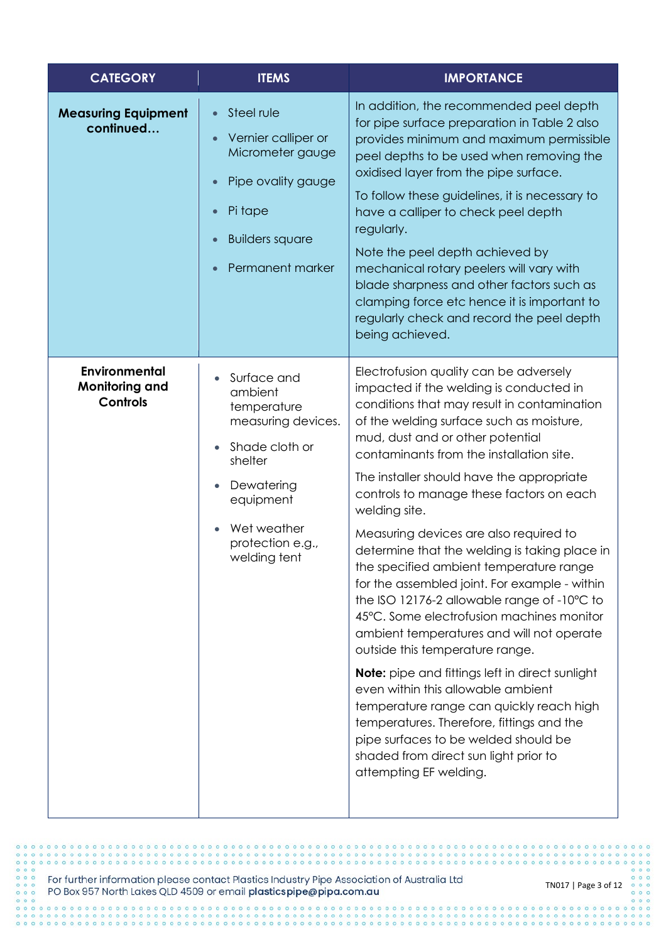| <b>CATEGORY</b>                                                  | <b>ITEMS</b>                                                                                                                                                                                          | <b>IMPORTANCE</b>                                                                                                                                                                                                                                                                                                                                                                                                                                                                                                                                                                                                                                                                                                                                                                                                                                                                                                                                                                                                                             |
|------------------------------------------------------------------|-------------------------------------------------------------------------------------------------------------------------------------------------------------------------------------------------------|-----------------------------------------------------------------------------------------------------------------------------------------------------------------------------------------------------------------------------------------------------------------------------------------------------------------------------------------------------------------------------------------------------------------------------------------------------------------------------------------------------------------------------------------------------------------------------------------------------------------------------------------------------------------------------------------------------------------------------------------------------------------------------------------------------------------------------------------------------------------------------------------------------------------------------------------------------------------------------------------------------------------------------------------------|
| <b>Measuring Equipment</b><br>continued                          | Steel rule<br>$\bullet$<br>Vernier calliper or<br>$\bullet$<br>Micrometer gauge<br>Pipe ovality gauge<br>$\bullet$<br>Pi tape<br>$\bullet$<br><b>Builders square</b><br>$\bullet$<br>Permanent marker | In addition, the recommended peel depth<br>for pipe surface preparation in Table 2 also<br>provides minimum and maximum permissible<br>peel depths to be used when removing the<br>oxidised layer from the pipe surface.<br>To follow these guidelines, it is necessary to<br>have a calliper to check peel depth<br>regularly.<br>Note the peel depth achieved by<br>mechanical rotary peelers will vary with<br>blade sharpness and other factors such as<br>clamping force etc hence it is important to<br>regularly check and record the peel depth<br>being achieved.                                                                                                                                                                                                                                                                                                                                                                                                                                                                    |
| <b>Environmental</b><br><b>Monitoring and</b><br><b>Controls</b> | Surface and<br>ambient<br>temperature<br>measuring devices.<br>Shade cloth or<br>shelter<br>Dewatering<br>equipment<br>Wet weather<br>protection e.g.,<br>welding tent                                | Electrofusion quality can be adversely<br>impacted if the welding is conducted in<br>conditions that may result in contamination<br>of the welding surface such as moisture,<br>mud, dust and or other potential<br>contaminants from the installation site.<br>The installer should have the appropriate<br>controls to manage these factors on each<br>welding site.<br>Measuring devices are also required to<br>determine that the welding is taking place in<br>the specified ambient temperature range<br>for the assembled joint. For example - within<br>the ISO 12176-2 allowable range of -10°C to<br>45°C. Some electrofusion machines monitor<br>ambient temperatures and will not operate<br>outside this temperature range.<br><b>Note:</b> pipe and fittings left in direct sunlight<br>even within this allowable ambient<br>temperature range can quickly reach high<br>temperatures. Therefore, fittings and the<br>pipe surfaces to be welded should be<br>shaded from direct sun light prior to<br>attempting EF welding. |

For further information please contact Plastics Industry Pipe Association of Australia Ltd<br>PO Box 957 North Lakes QLD 4509 or email plasticspipe@pipa.com.au

 $0000$ 

 $\circ$ 

 $0.0000000$ 

 $000$ 

 $000$ 

 $000000000000$ 

 $000000000000$ 

 $^{\circ}$ 

 $0000000000$ 

 $000000000000000$ 

 $0.000000000000$ 

 $0000000000$ 

 $\circ$ ö  $\ddot{\circ}$  $0<sup>o</sup>$ 

> $0<sub>0</sub>$  $0<sup>o</sup>$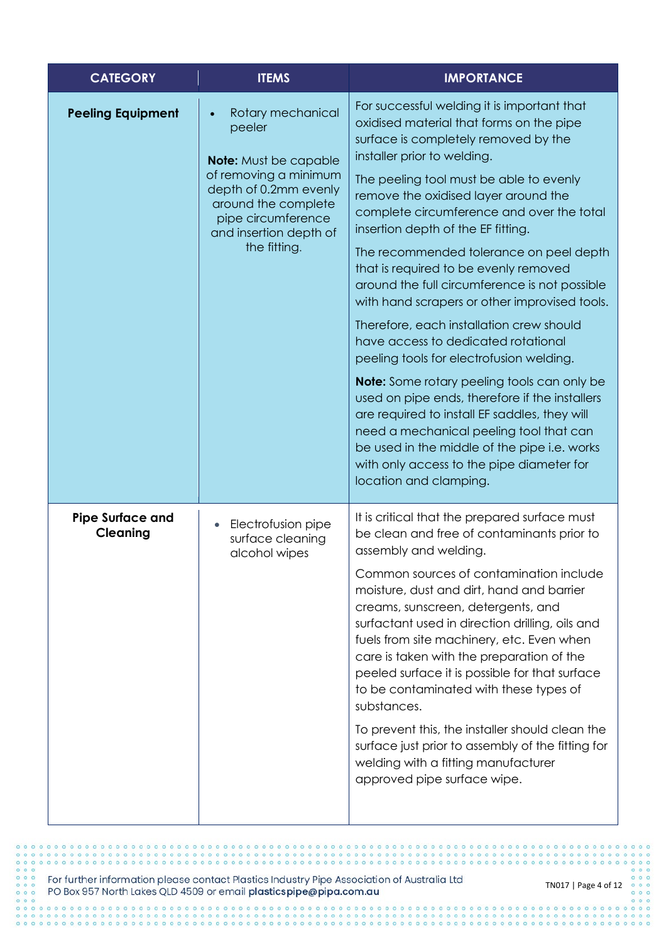| <b>CATEGORY</b>                            | <b>ITEMS</b>                                                                                                                                                                                                      | <b>IMPORTANCE</b>                                                                                                                                                                                                                                                                                                                                                                                                                                                                                                                                                                                                                                                                                                                                                                                                                                                                                                                                                                    |
|--------------------------------------------|-------------------------------------------------------------------------------------------------------------------------------------------------------------------------------------------------------------------|--------------------------------------------------------------------------------------------------------------------------------------------------------------------------------------------------------------------------------------------------------------------------------------------------------------------------------------------------------------------------------------------------------------------------------------------------------------------------------------------------------------------------------------------------------------------------------------------------------------------------------------------------------------------------------------------------------------------------------------------------------------------------------------------------------------------------------------------------------------------------------------------------------------------------------------------------------------------------------------|
| <b>Peeling Equipment</b>                   | Rotary mechanical<br>$\bullet$<br>peeler<br><b>Note:</b> Must be capable<br>of removing a minimum<br>depth of 0.2mm evenly<br>around the complete<br>pipe circumference<br>and insertion depth of<br>the fitting. | For successful welding it is important that<br>oxidised material that forms on the pipe<br>surface is completely removed by the<br>installer prior to welding.<br>The peeling tool must be able to evenly<br>remove the oxidised layer around the<br>complete circumference and over the total<br>insertion depth of the EF fitting.<br>The recommended tolerance on peel depth<br>that is required to be evenly removed<br>around the full circumference is not possible<br>with hand scrapers or other improvised tools.<br>Therefore, each installation crew should<br>have access to dedicated rotational<br>peeling tools for electrofusion welding.<br><b>Note:</b> Some rotary peeling tools can only be<br>used on pipe ends, therefore if the installers<br>are required to install EF saddles, they will<br>need a mechanical peeling tool that can<br>be used in the middle of the pipe i.e. works<br>with only access to the pipe diameter for<br>location and clamping. |
| <b>Pipe Surface and</b><br><b>Cleaning</b> | Electrofusion pipe<br>surface cleaning<br>alcohol wipes                                                                                                                                                           | It is critical that the prepared surface must<br>be clean and free of contaminants prior to<br>assembly and welding.<br>Common sources of contamination include<br>moisture, dust and dirt, hand and barrier<br>creams, sunscreen, detergents, and<br>surfactant used in direction drilling, oils and<br>fuels from site machinery, etc. Even when<br>care is taken with the preparation of the<br>peeled surface it is possible for that surface<br>to be contaminated with these types of<br>substances.<br>To prevent this, the installer should clean the<br>surface just prior to assembly of the fitting for<br>welding with a fitting manufacturer<br>approved pipe surface wipe.                                                                                                                                                                                                                                                                                             |

 $0<sup>o</sup>$ 

 $0.0000000$ 

For further information please contact Plastics Industry Pipe Association of Australia Ltd<br>PO Box 957 North Lakes QLD 4509 or email plasticspipe@pipa.com.au

 $000$ 

 $0000000$ 

 $\begin{array}{ccc}\n\circ & \circ & \circ & \circ\n\end{array}$ 

 $0000$ 

 $\overline{\phantom{a}}$  $0<sup>o</sup>$ 

 $\circ$  $00$  $0.0$  $\ddot{\circ}$  $0<sup>o</sup>$  $\circ$  $^{\circ}$ 

 $000$ 

 $0.000000$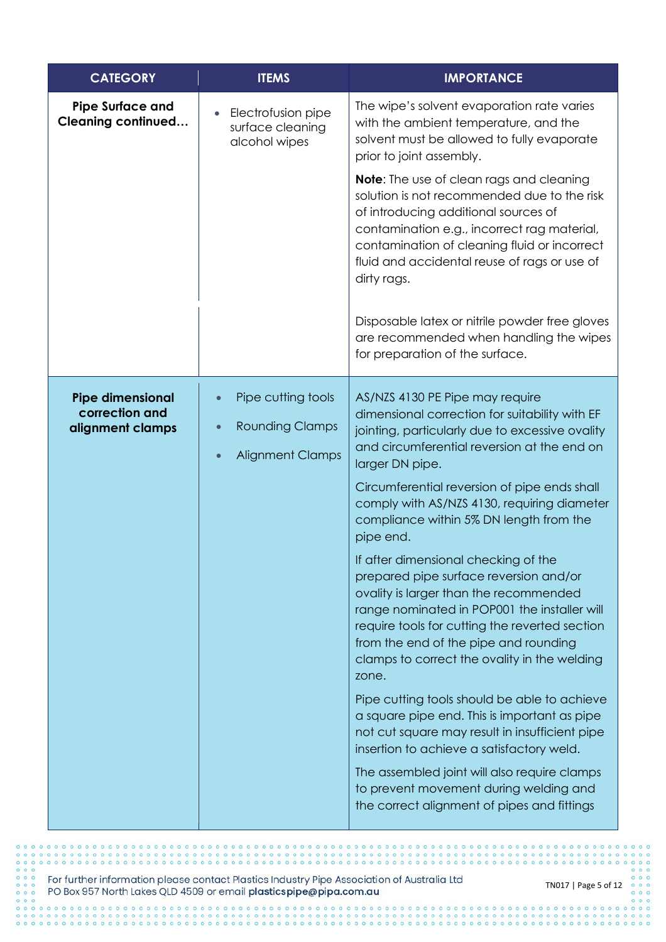| <b>CATEGORY</b>                                               | <b>ITEMS</b>                                                                                      | <b>IMPORTANCE</b>                                                                                                                                                                                                                                                                                                                                                                                                                               |
|---------------------------------------------------------------|---------------------------------------------------------------------------------------------------|-------------------------------------------------------------------------------------------------------------------------------------------------------------------------------------------------------------------------------------------------------------------------------------------------------------------------------------------------------------------------------------------------------------------------------------------------|
| <b>Pipe Surface and</b><br><b>Cleaning continued</b>          | Electrofusion pipe<br>$\bullet$<br>surface cleaning<br>alcohol wipes                              | The wipe's solvent evaporation rate varies<br>with the ambient temperature, and the<br>solvent must be allowed to fully evaporate<br>prior to joint assembly.                                                                                                                                                                                                                                                                                   |
|                                                               |                                                                                                   | <b>Note:</b> The use of clean rags and cleaning<br>solution is not recommended due to the risk<br>of introducing additional sources of<br>contamination e.g., incorrect rag material,<br>contamination of cleaning fluid or incorrect<br>fluid and accidental reuse of rags or use of<br>dirty rags.                                                                                                                                            |
|                                                               |                                                                                                   | Disposable latex or nitrile powder free gloves<br>are recommended when handling the wipes<br>for preparation of the surface.                                                                                                                                                                                                                                                                                                                    |
| <b>Pipe dimensional</b><br>correction and<br>alignment clamps | Pipe cutting tools<br>$\bullet$<br><b>Rounding Clamps</b><br><b>Alignment Clamps</b><br>$\bullet$ | AS/NZS 4130 PE Pipe may require<br>dimensional correction for suitability with EF<br>jointing, particularly due to excessive ovality<br>and circumferential reversion at the end on<br>larger DN pipe.<br>Circumferential reversion of pipe ends shall<br>comply with AS/NZS 4130, requiring diameter<br>compliance within 5% DN length from the<br>pipe end.<br>If after dimensional checking of the<br>prepared pipe surface reversion and/or |
|                                                               |                                                                                                   | ovality is larger than the recommended<br>range nominated in POP001 the installer will<br>require tools for cutting the reverted section<br>from the end of the pipe and rounding<br>clamps to correct the ovality in the welding<br>zone.                                                                                                                                                                                                      |
|                                                               |                                                                                                   | Pipe cutting tools should be able to achieve<br>a square pipe end. This is important as pipe<br>not cut square may result in insufficient pipe<br>insertion to achieve a satisfactory weld.                                                                                                                                                                                                                                                     |
|                                                               |                                                                                                   | The assembled joint will also require clamps<br>to prevent movement during welding and<br>the correct alignment of pipes and fittings                                                                                                                                                                                                                                                                                                           |

For further information please contact Plastics Industry Pipe Association of Australia Ltd PO Box 957 North Lakes QLD 4509 or email plasticspipe@pipa.com.au

 $0.00$ 

 $000$  $0<sup>o</sup>$ ö

 $\circ$  $00$  $0<sup>o</sup>$  $\ddot{\circ}$ 

 $0<sup>o</sup>$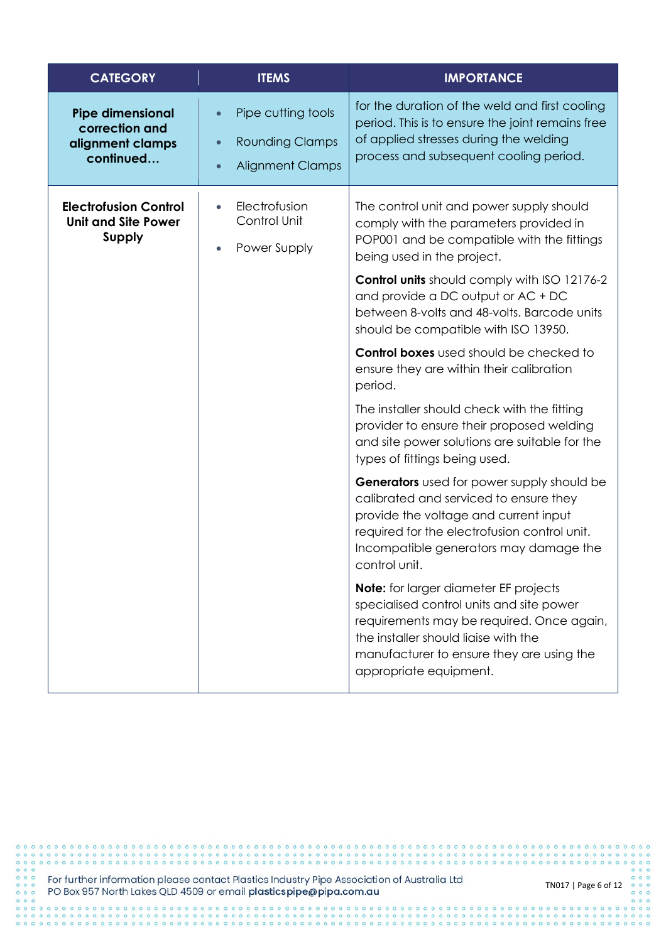| <b>CATEGORY</b>                                                             | <b>ITEMS</b>                                                                                                   | <b>IMPORTANCE</b>                                                                                                                                                                                                                                                                                                                                                                                                                                                                                                                                                                                                                                                                                                                                                                                                                                                                                                                                                                                                       |
|-----------------------------------------------------------------------------|----------------------------------------------------------------------------------------------------------------|-------------------------------------------------------------------------------------------------------------------------------------------------------------------------------------------------------------------------------------------------------------------------------------------------------------------------------------------------------------------------------------------------------------------------------------------------------------------------------------------------------------------------------------------------------------------------------------------------------------------------------------------------------------------------------------------------------------------------------------------------------------------------------------------------------------------------------------------------------------------------------------------------------------------------------------------------------------------------------------------------------------------------|
| <b>Pipe dimensional</b><br>correction and<br>alignment clamps<br>continued  | Pipe cutting tools<br>$\bullet$<br><b>Rounding Clamps</b><br>$\bullet$<br><b>Alignment Clamps</b><br>$\bullet$ | for the duration of the weld and first cooling<br>period. This is to ensure the joint remains free<br>of applied stresses during the welding<br>process and subsequent cooling period.                                                                                                                                                                                                                                                                                                                                                                                                                                                                                                                                                                                                                                                                                                                                                                                                                                  |
| <b>Electrofusion Control</b><br><b>Unit and Site Power</b><br><b>Supply</b> | Electrofusion<br>Control Unit<br>Power Supply                                                                  | The control unit and power supply should<br>comply with the parameters provided in<br>POP001 and be compatible with the fittings<br>being used in the project.<br>Control units should comply with ISO 12176-2<br>and provide a DC output or AC + DC<br>between 8-volts and 48-volts. Barcode units<br>should be compatible with ISO 13950.<br><b>Control boxes</b> used should be checked to<br>ensure they are within their calibration<br>period.<br>The installer should check with the fitting<br>provider to ensure their proposed welding<br>and site power solutions are suitable for the<br>types of fittings being used.<br>Generators used for power supply should be<br>calibrated and serviced to ensure they<br>provide the voltage and current input<br>required for the electrofusion control unit.<br>Incompatible generators may damage the<br>control unit.<br><b>Note:</b> for larger diameter EF projects<br>specialised control units and site power<br>requirements may be required. Once again, |
|                                                                             |                                                                                                                | the installer should liaise with the<br>manufacturer to ensure they are using the<br>appropriate equipment.                                                                                                                                                                                                                                                                                                                                                                                                                                                                                                                                                                                                                                                                                                                                                                                                                                                                                                             |

For further information please contact Plastics Industry Pipe Association of Australia Ltd<br>PO Box 957 North Lakes QLD 4509 or email plasticspipe@pipa.com.au

 $0 0 0 0 0 0 0 0$ 

.....................................

 $0 0 0 0 0 0 0 0 0 0$ 

 $000$  $0<sup>o</sup>$  $\ddot{\circ}$  $\circ$  $0<sup>o</sup>$  $000$  $0.000000$ 

 $000$ 

 $0.00000000000000$ 

TN017 | Page 6 of 12

 $0000000$ 

 $0<sup>o</sup>$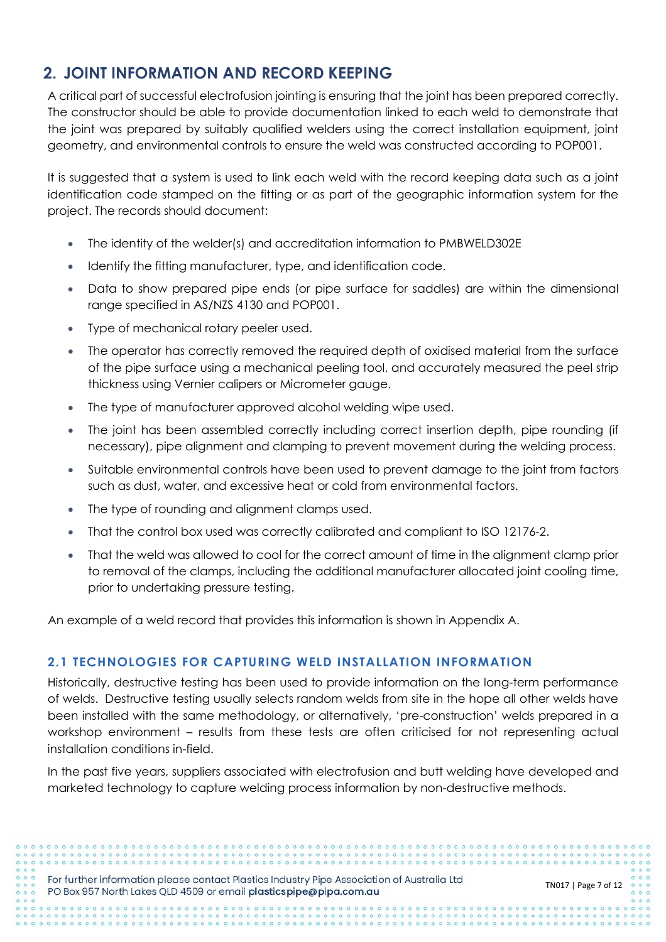# **2. JOINT INFORMATION AND RECORD KEEPING**

A critical part of successful electrofusion jointing is ensuring that the joint has been prepared correctly. The constructor should be able to provide documentation linked to each weld to demonstrate that the joint was prepared by suitably qualified welders using the correct installation equipment, joint geometry, and environmental controls to ensure the weld was constructed according to POP001.

It is suggested that a system is used to link each weld with the record keeping data such as a joint identification code stamped on the fitting or as part of the geographic information system for the project. The records should document:

- The identity of the welder(s) and accreditation information to PMBWELD302E
- Identify the fitting manufacturer, type, and identification code.
- Data to show prepared pipe ends (or pipe surface for saddles) are within the dimensional range specified in AS/NZS 4130 and POP001.
- Type of mechanical rotary peeler used.
- The operator has correctly removed the required depth of oxidised material from the surface of the pipe surface using a mechanical peeling tool, and accurately measured the peel strip thickness using Vernier calipers or Micrometer gauge.
- The type of manufacturer approved alcohol welding wipe used.
- The joint has been assembled correctly including correct insertion depth, pipe rounding (if necessary), pipe alignment and clamping to prevent movement during the welding process.
- Suitable environmental controls have been used to prevent damage to the joint from factors such as dust, water, and excessive heat or cold from environmental factors.
- The type of rounding and alignment clamps used.
- That the control box used was correctly calibrated and compliant to ISO 12176-2.
- That the weld was allowed to cool for the correct amount of time in the alignment clamp prior to removal of the clamps, including the additional manufacturer allocated joint cooling time, prior to undertaking pressure testing.

An example of a weld record that provides this information is shown in Appendix A.

## **2.1 TECHNOLOGIES FOR CAPTURING WELD INSTALLATION INFORMATION**

Historically, destructive testing has been used to provide information on the long-term performance of welds. Destructive testing usually selects random welds from site in the hope all other welds have been installed with the same methodology, or alternatively, 'pre-construction' welds prepared in a workshop environment – results from these tests are often criticised for not representing actual installation conditions in-field.

In the past five years, suppliers associated with electrofusion and butt welding have developed and marketed technology to capture welding process information by non-destructive methods.

For further information please contact Plastics Industry Pipe Association of Australia Ltd PO Box 957 North Lakes QLD 4509 or email plasticspipe@pipa.com.au

TN017 | Page 7 of 12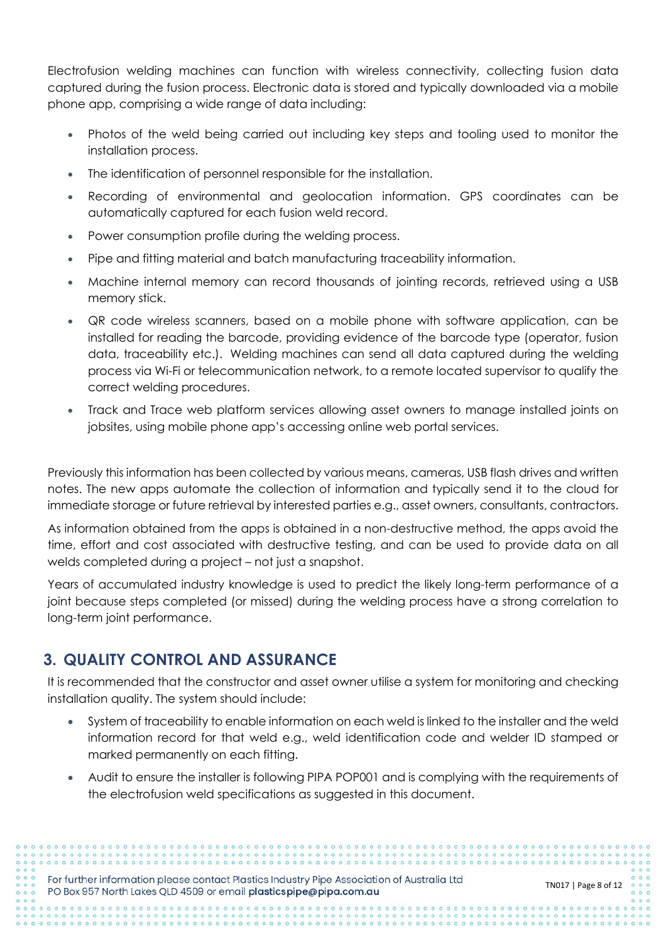Electrofusion welding machines can function with wireless connectivity, collecting fusion data captured during the fusion process. Electronic data is stored and typically downloaded via a mobile phone app, comprising a wide range of data including:

- Photos of the weld being carried out including key steps and tooling used to monitor the installation process.
- The identification of personnel responsible for the installation.
- Recording of environmental and geolocation information. GPS coordinates can be automatically captured for each fusion weld record.
- Power consumption profile during the welding process.
- Pipe and fitting material and batch manufacturing traceability information.
- Machine internal memory can record thousands of jointing records, retrieved using a USB memory stick.
- QR code wireless scanners, based on a mobile phone with software application, can be installed for reading the barcode, providing evidence of the barcode type (operator, fusion data, traceability etc.). Welding machines can send all data captured during the welding process via Wi-Fi or telecommunication network, to a remote located supervisor to qualify the correct welding procedures.
- Track and Trace web platform services allowing asset owners to manage installed joints on jobsites, using mobile phone app's accessing online web portal services.

Previously this information has been collected by various means, cameras, USB flash drives and written notes. The new apps automate the collection of information and typically send it to the cloud for immediate storage or future retrieval by interested parties e.g., asset owners, consultants, contractors.

As information obtained from the apps is obtained in a non-destructive method, the apps avoid the time, effort and cost associated with destructive testing, and can be used to provide data on all welds completed during a project – not just a snapshot.

Years of accumulated industry knowledge is used to predict the likely long-term performance of a joint because steps completed (or missed) during the welding process have a strong correlation to long-term joint performance.

## **3. QUALITY CONTROL AND ASSURANCE**

It is recommended that the constructor and asset owner utilise a system for monitoring and checking installation quality. The system should include:

- System of traceability to enable information on each weld is linked to the installer and the weld information record for that weld e.g., weld identification code and welder ID stamped or marked permanently on each fitting.
- Audit to ensure the installer is following PIPA POP001 and is complying with the requirements of the electrofusion weld specifications as suggested in this document.

For further information please contact Plastics Industry Pipe Association of Australia Ltd PO Box 957 North Lakes QLD 4509 or email plasticspipe@pipa.com.au

TN017 | Page 8 of 12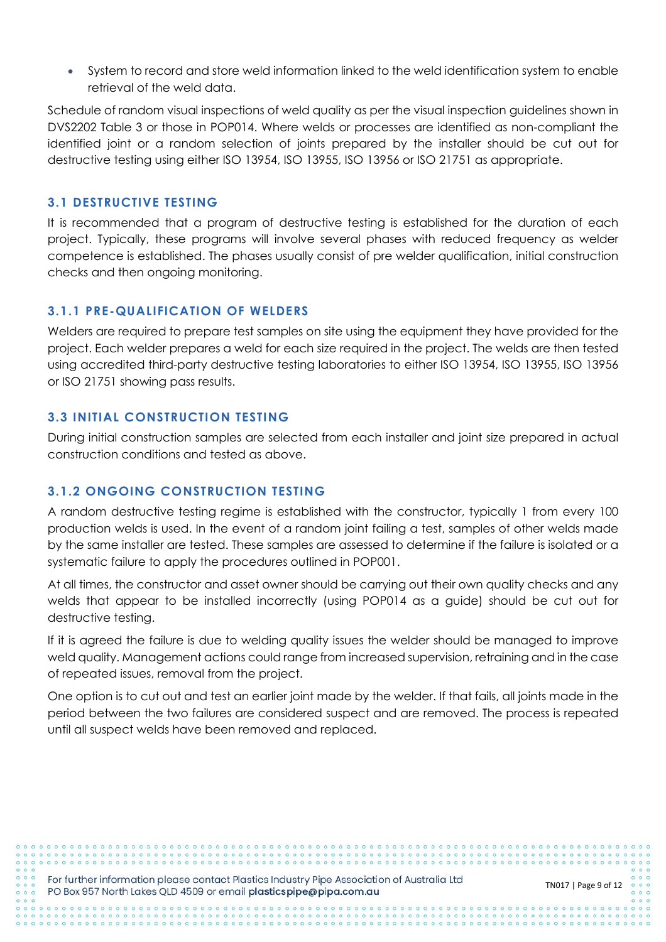• System to record and store weld information linked to the weld identification system to enable retrieval of the weld data.

Schedule of random visual inspections of weld quality as per the visual inspection guidelines shown in DVS2202 Table 3 or those in POP014. Where welds or processes are identified as non-compliant the identified joint or a random selection of joints prepared by the installer should be cut out for destructive testing using either ISO 13954, ISO 13955, ISO 13956 or ISO 21751 as appropriate.

## **3.1 DESTRUCTIVE TESTING**

It is recommended that a program of destructive testing is established for the duration of each project. Typically, these programs will involve several phases with reduced frequency as welder competence is established. The phases usually consist of pre welder qualification, initial construction checks and then ongoing monitoring.

## **3.1.1 PRE-QUALIFICATION OF WELDERS**

Welders are required to prepare test samples on site using the equipment they have provided for the project. Each welder prepares a weld for each size required in the project. The welds are then tested using accredited third-party destructive testing laboratories to either ISO 13954, ISO 13955, ISO 13956 or ISO 21751 showing pass results.

## **3.3 INITIAL CONSTRUCTION TESTING**

During initial construction samples are selected from each installer and joint size prepared in actual construction conditions and tested as above.

## **3.1.2 ONGOING CONSTRUCTION TESTING**

A random destructive testing regime is established with the constructor, typically 1 from every 100 production welds is used. In the event of a random joint failing a test, samples of other welds made by the same installer are tested. These samples are assessed to determine if the failure is isolated or a systematic failure to apply the procedures outlined in POP001.

At all times, the constructor and asset owner should be carrying out their own quality checks and any welds that appear to be installed incorrectly (using POP014 as a guide) should be cut out for destructive testing.

If it is agreed the failure is due to welding quality issues the welder should be managed to improve weld quality. Management actions could range from increased supervision, retraining and in the case of repeated issues, removal from the project.

One option is to cut out and test an earlier joint made by the welder. If that fails, all joints made in the period between the two failures are considered suspect and are removed. The process is repeated until all suspect welds have been removed and replaced.

For further information please contact Plastics Industry Pipe Association of Australia Ltd PO Box 957 North Lakes QLD 4509 or email plasticspipe@pipa.com.au

TN017 | Page 9 of 12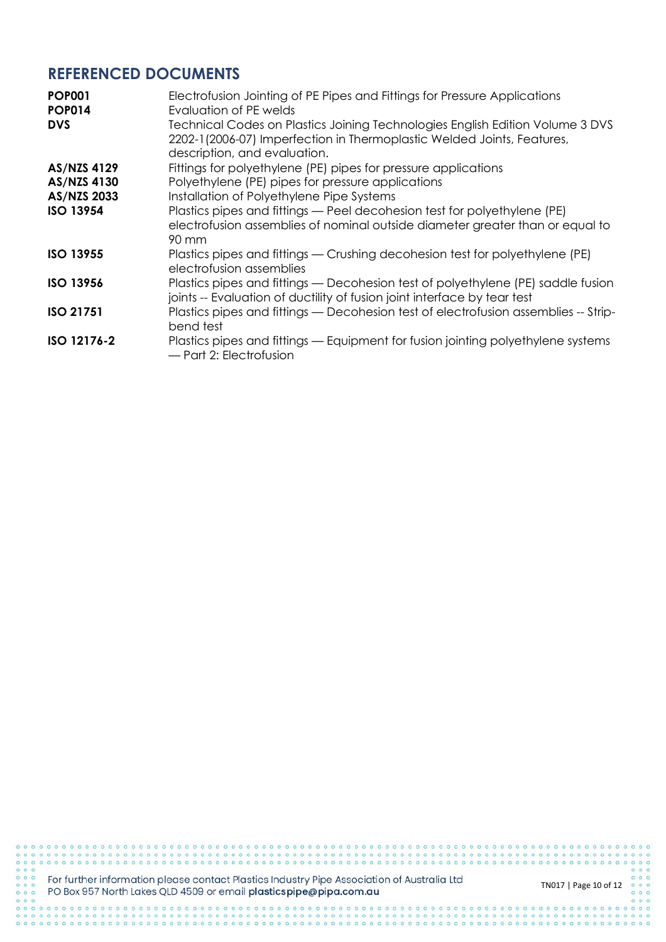## **REFERENCED DOCUMENTS**

| <b>POP001</b><br><b>POP014</b> | Electrofusion Jointing of PE Pipes and Fittings for Pressure Applications<br>Evaluation of PE welds                                                                                     |
|--------------------------------|-----------------------------------------------------------------------------------------------------------------------------------------------------------------------------------------|
| <b>DVS</b>                     | Technical Codes on Plastics Joining Technologies English Edition Volume 3 DVS<br>2202-1(2006-07) Imperfection in Thermoplastic Welded Joints, Features,<br>description, and evaluation. |
| <b>AS/NZS 4129</b>             | Fittings for polyethylene (PE) pipes for pressure applications                                                                                                                          |
| AS/NZS 4130                    | Polyethylene (PE) pipes for pressure applications                                                                                                                                       |
| AS/NZS 2033                    | Installation of Polyethylene Pipe Systems                                                                                                                                               |
| <b>ISO 13954</b>               | Plastics pipes and fittings - Peel decohesion test for polyethylene (PE)<br>electrofusion assemblies of nominal outside diameter greater than or equal to<br>90 mm                      |
| <b>ISO 13955</b>               | Plastics pipes and fittings — Crushing decohesion test for polyethylene (PE)<br>electrofusion assemblies                                                                                |
| <b>ISO 13956</b>               | Plastics pipes and fittings — Decohesion test of polyethylene (PE) saddle fusion<br>joints -- Evaluation of ductility of fusion joint interface by tear test                            |
| <b>ISO 21751</b>               | Plastics pipes and fittings — Decohesion test of electrofusion assemblies -- Strip-<br>bend test                                                                                        |
| ISO 12176-2                    | Plastics pipes and fittings — Equipment for fusion jointing polyethylene systems<br>— Part 2: Electrofusion                                                                             |

000000

 $000$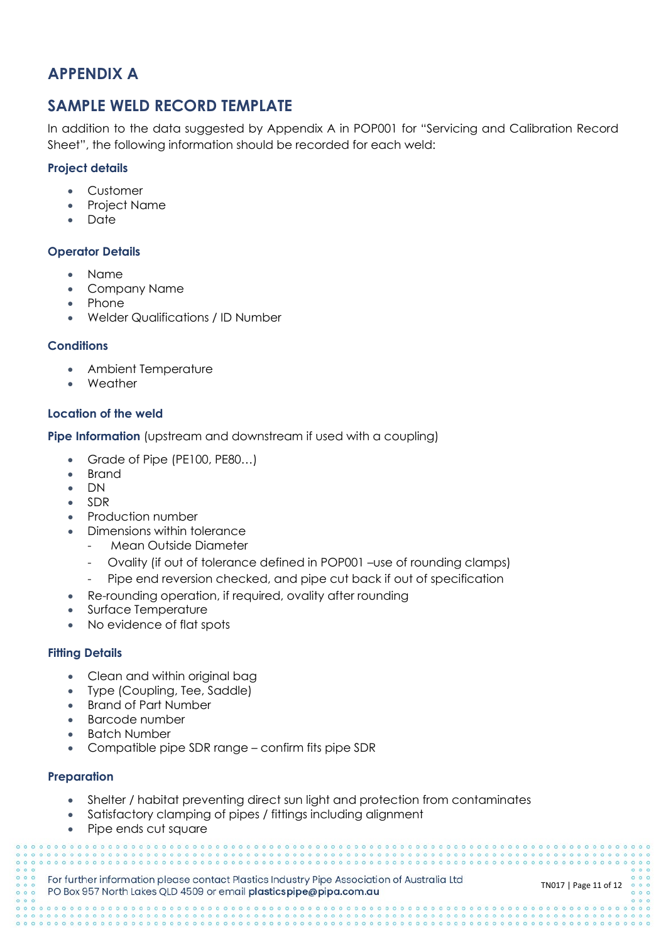# **APPENDIX A**

## **SAMPLE WELD RECORD TEMPLATE**

In addition to the data suggested by Appendix A in POP001 for "Servicing and Calibration Record Sheet", the following information should be recorded for each weld:

## **Project details**

- Customer
- Project Name
- Date

## **Operator Details**

- Name
- Company Name
- Phone
- Welder Qualifications / ID Number

## **Conditions**

- Ambient Temperature
- Weather

## **Location of the weld**

**Pipe Information** (upstream and downstream if used with a coupling)

- Grade of Pipe (PE100, PE80...)
- Brand
- DN
- SDR
- Production number
- Dimensions within tolerance
	- Mean Outside Diameter
	- Ovality (if out of tolerance defined in POP001 –use of rounding clamps)
	- Pipe end reversion checked, and pipe cut back if out of specification
- Re-rounding operation, if required, ovality after rounding
- Surface Temperature
- No evidence of flat spots

## **Fitting Details**

- Clean and within original bag
- Type (Coupling, Tee, Saddle)
- Brand of Part Number
- Barcode number
- **Batch Number**
- Compatible pipe SDR range confirm fits pipe SDR

#### **Preparation**

- Shelter / habitat preventing direct sun light and protection from contaminates
- Satisfactory clamping of pipes / fittings including alignment
- Pipe ends cut square

For further information please contact Plastics Industry Pipe Association of Australia Ltd PO Box 957 North Lakes QLD 4509 or email plasticspipe@pipa.com.au

TN017 | Page 11 of 12

00000000000000000000000